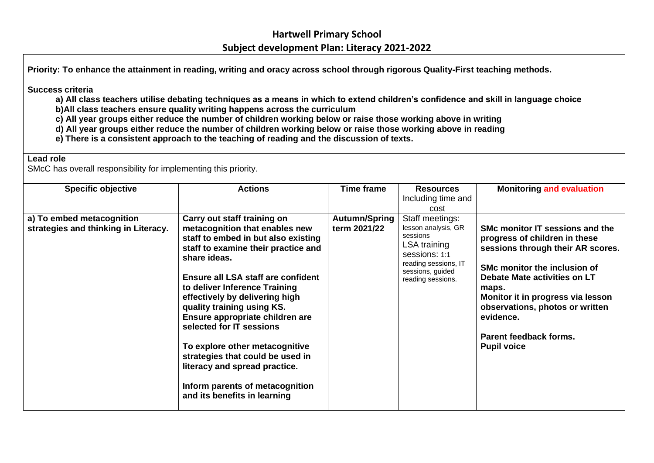**Priority: To enhance the attainment in reading, writing and oracy across school through rigorous Quality-First teaching methods.**

#### **Success criteria**

**a) All class teachers utilise debating techniques as a means in which to extend children's confidence and skill in language choice b)All class teachers ensure quality writing happens across the curriculum**

**c) All year groups either reduce the number of children working below or raise those working above in writing**

- **d) All year groups either reduce the number of children working below or raise those working above in reading**
- **e) There is a consistent approach to the teaching of reading and the discussion of texts.**

#### **Lead role**

SMcC has overall responsibility for implementing this priority.

| <b>Specific objective</b>                                         | <b>Actions</b>                                                                                                                                                                                                                                                                                                                                                                                                                                                                                                                              | Time frame                    | <b>Resources</b><br>Including time and<br>cost                                                                                                       | <b>Monitoring and evaluation</b>                                                                                                                                                                                                                                                                                    |
|-------------------------------------------------------------------|---------------------------------------------------------------------------------------------------------------------------------------------------------------------------------------------------------------------------------------------------------------------------------------------------------------------------------------------------------------------------------------------------------------------------------------------------------------------------------------------------------------------------------------------|-------------------------------|------------------------------------------------------------------------------------------------------------------------------------------------------|---------------------------------------------------------------------------------------------------------------------------------------------------------------------------------------------------------------------------------------------------------------------------------------------------------------------|
| a) To embed metacognition<br>strategies and thinking in Literacy. | Carry out staff training on<br>metacognition that enables new<br>staff to embed in but also existing<br>staff to examine their practice and<br>share ideas.<br>Ensure all LSA staff are confident<br>to deliver Inference Training<br>effectively by delivering high<br>quality training using KS.<br>Ensure appropriate children are<br>selected for IT sessions<br>To explore other metacognitive<br>strategies that could be used in<br>literacy and spread practice.<br>Inform parents of metacognition<br>and its benefits in learning | Autumn/Spring<br>term 2021/22 | Staff meetings:<br>lesson analysis, GR<br>sessions<br>LSA training<br>Sessions: 1:1<br>reading sessions, IT<br>sessions, guided<br>reading sessions. | SMc monitor IT sessions and the<br>progress of children in these<br>sessions through their AR scores.<br>SMc monitor the inclusion of<br>Debate Mate activities on LT<br>maps.<br>Monitor it in progress via lesson<br>observations, photos or written<br>evidence.<br>Parent feedback forms.<br><b>Pupil voice</b> |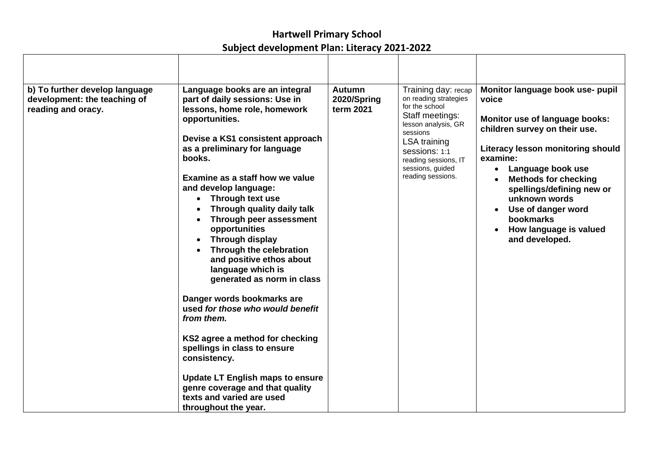| b) To further develop language<br>development: the teaching of<br>reading and oracy. | Language books are an integral<br>part of daily sessions: Use in<br>lessons, home role, homework<br>opportunities.<br>Devise a KS1 consistent approach<br>as a preliminary for language<br>books.<br>Examine as a staff how we value<br>and develop language:<br>Through text use<br>Through quality daily talk<br>Through peer assessment<br>opportunities<br>Through display<br>Through the celebration<br>and positive ethos about<br>language which is<br>generated as norm in class<br>Danger words bookmarks are<br>used for those who would benefit<br>from them.<br>KS2 agree a method for checking<br>spellings in class to ensure<br>consistency.<br><b>Update LT English maps to ensure</b><br>genre coverage and that quality<br>texts and varied are used<br>throughout the year. | <b>Autumn</b><br>2020/Spring<br>term 2021 | Training day: recap<br>on reading strategies<br>for the school<br>Staff meetings:<br>lesson analysis, GR<br>sessions<br><b>LSA</b> training<br>sessions: 1:1<br>reading sessions, IT<br>sessions, guided<br>reading sessions. | Monitor language book use- pupil<br>voice<br>Monitor use of language books:<br>children survey on their use.<br>Literacy lesson monitoring should<br>examine:<br>Language book use<br>$\bullet$<br><b>Methods for checking</b><br>spellings/defining new or<br>unknown words<br>Use of danger word<br>$\bullet$<br>bookmarks<br>How language is valued<br>and developed. |
|--------------------------------------------------------------------------------------|------------------------------------------------------------------------------------------------------------------------------------------------------------------------------------------------------------------------------------------------------------------------------------------------------------------------------------------------------------------------------------------------------------------------------------------------------------------------------------------------------------------------------------------------------------------------------------------------------------------------------------------------------------------------------------------------------------------------------------------------------------------------------------------------|-------------------------------------------|-------------------------------------------------------------------------------------------------------------------------------------------------------------------------------------------------------------------------------|--------------------------------------------------------------------------------------------------------------------------------------------------------------------------------------------------------------------------------------------------------------------------------------------------------------------------------------------------------------------------|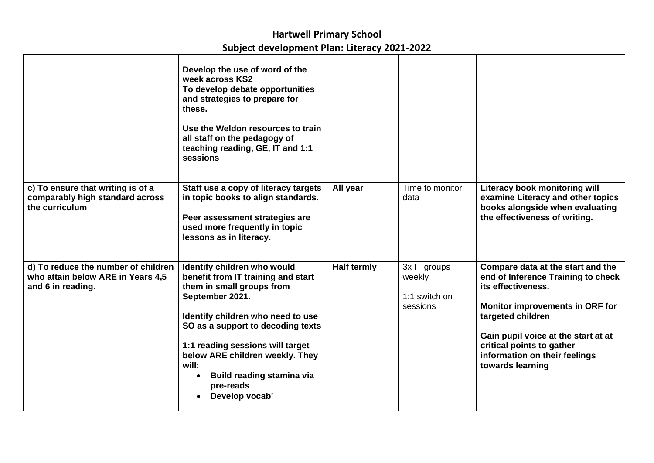|                                                                                               | Develop the use of word of the<br>week across KS2<br>To develop debate opportunities<br>and strategies to prepare for<br>these.<br>Use the Weldon resources to train<br>all staff on the pedagogy of<br>teaching reading, GE, IT and 1:1<br>sessions                                                                                    |                    |                                                     |                                                                                                                                                                                                                                                                                       |
|-----------------------------------------------------------------------------------------------|-----------------------------------------------------------------------------------------------------------------------------------------------------------------------------------------------------------------------------------------------------------------------------------------------------------------------------------------|--------------------|-----------------------------------------------------|---------------------------------------------------------------------------------------------------------------------------------------------------------------------------------------------------------------------------------------------------------------------------------------|
| c) To ensure that writing is of a<br>comparably high standard across<br>the curriculum        | Staff use a copy of literacy targets<br>in topic books to align standards.<br>Peer assessment strategies are<br>used more frequently in topic<br>lessons as in literacy.                                                                                                                                                                | All year           | Time to monitor<br>data                             | Literacy book monitoring will<br>examine Literacy and other topics<br>books alongside when evaluating<br>the effectiveness of writing.                                                                                                                                                |
| d) To reduce the number of children<br>who attain below ARE in Years 4,5<br>and 6 in reading. | Identify children who would<br>benefit from IT training and start<br>them in small groups from<br>September 2021.<br>Identify children who need to use<br>SO as a support to decoding texts<br>1:1 reading sessions will target<br>below ARE children weekly. They<br>will:<br>Build reading stamina via<br>pre-reads<br>Develop vocab' | <b>Half termly</b> | 3x IT groups<br>weekly<br>1:1 switch on<br>sessions | Compare data at the start and the<br>end of Inference Training to check<br>its effectiveness.<br><b>Monitor improvements in ORF for</b><br>targeted children<br>Gain pupil voice at the start at at<br>critical points to gather<br>information on their feelings<br>towards learning |